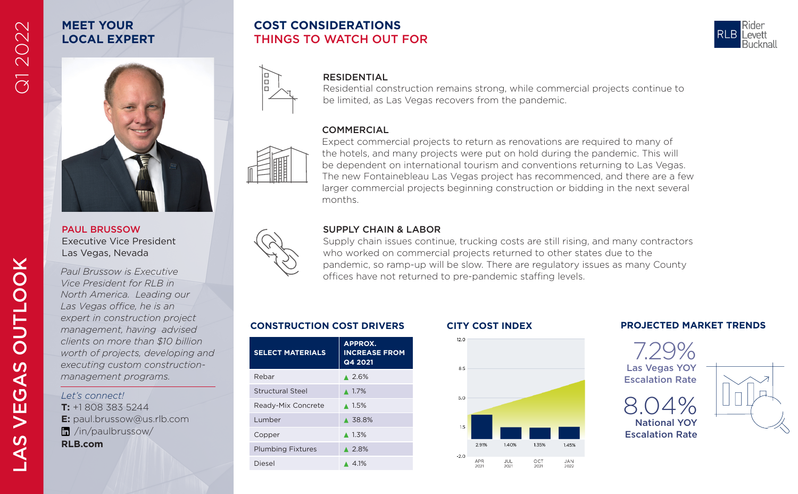# **MEET YOUR LOCAL EXPERT**

PAUL BRUSSOW Executive Vice President Las Vegas, Nevada

*Paul Brussow is Executive Vice President for RLB in North America. Leading our Las Vegas office, he is an expert in construction project management, having advised clients on more than \$10 billion worth of projects, developing and executing custom constructionmanagement programs.*

### *Let's connect!*

**T:** +1 808 383 5244 **E:** paul.brussow@us.rlb.com /in/paulbrussow/

**RLB.com**

# **COST CONSIDERATIONS** THINGS TO WATCH OUT FOR



## RESIDENTIAL

Residential construction remains strong, while commercial projects continue to be limited, as Las Vegas recovers from the pandemic.

## **COMMERCIAL**



E ١ă

> Expect commercial projects to return as renovations are required to many of the hotels, and many projects were put on hold during the pandemic. This will be dependent on international tourism and conventions returning to Las Vegas. The new Fontainebleau Las Vegas project has recommenced, and there are a few larger commercial projects beginning construction or bidding in the next several months.

## SUPPLY CHAIN & LABOR

Supply chain issues continue, trucking costs are still rising, and many contractors who worked on commercial projects returned to other states due to the pandemic, so ramp-up will be slow. There are regulatory issues as many County offices have not returned to pre-pandemic staffing levels.

| <b>SELECT MATERIALS</b>  | <b>APPROX.</b><br><b>INCREASE FROM</b><br>Q4 2021 |
|--------------------------|---------------------------------------------------|
| Rebar                    | $\triangle 2.6\%$                                 |
| <b>Structural Steel</b>  | $\triangle$ 1.7%                                  |
| Ready-Mix Concrete       | $\triangle$ 1.5%                                  |
| Lumber                   | ▲ 38.8%                                           |
| Copper                   | $\triangle$ 1.3%                                  |
| <b>Plumbing Fixtures</b> | $\triangle$ 2.8%                                  |
| Diesel                   | $\triangle$ 4.1%                                  |
|                          |                                                   |

 $12.0$ 

5.0

-20 APR

2021







 $\mathbf{v}$ 

**VEGA** 

 $\mathbf{v}$ 

⋖

Q1 2022